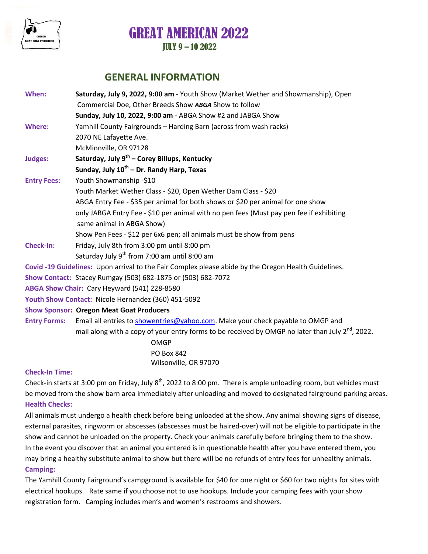

## **GENERAL INFORMATION**

| When:<br>Saturday, July 9, 2022, 9:00 am - Youth Show (Market Wether and Showmanship), Open |                                                                                                       |  |  |  |  |
|---------------------------------------------------------------------------------------------|-------------------------------------------------------------------------------------------------------|--|--|--|--|
|                                                                                             | Commercial Doe, Other Breeds Show ABGA Show to follow                                                 |  |  |  |  |
|                                                                                             | Sunday, July 10, 2022, 9:00 am - ABGA Show #2 and JABGA Show                                          |  |  |  |  |
| Where:                                                                                      | Yamhill County Fairgrounds - Harding Barn (across from wash racks)                                    |  |  |  |  |
|                                                                                             | 2070 NE Lafayette Ave.                                                                                |  |  |  |  |
|                                                                                             | McMinnville, OR 97128                                                                                 |  |  |  |  |
| Judges:                                                                                     | Saturday, July 9 <sup>th</sup> - Corey Billups, Kentucky                                              |  |  |  |  |
|                                                                                             | Sunday, July 10 <sup>th</sup> – Dr. Randy Harp, Texas                                                 |  |  |  |  |
| <b>Entry Fees:</b>                                                                          | Youth Showmanship -\$10                                                                               |  |  |  |  |
|                                                                                             | Youth Market Wether Class - \$20, Open Wether Dam Class - \$20                                        |  |  |  |  |
|                                                                                             | ABGA Entry Fee - \$35 per animal for both shows or \$20 per animal for one show                       |  |  |  |  |
|                                                                                             | only JABGA Entry Fee - \$10 per animal with no pen fees (Must pay pen fee if exhibiting               |  |  |  |  |
|                                                                                             | same animal in ABGA Show)                                                                             |  |  |  |  |
|                                                                                             | Show Pen Fees - \$12 per 6x6 pen; all animals must be show from pens                                  |  |  |  |  |
| <b>Check-In:</b>                                                                            | Friday, July 8th from 3:00 pm until 8:00 pm                                                           |  |  |  |  |
|                                                                                             | Saturday July 9 <sup>th</sup> from 7:00 am until 8:00 am                                              |  |  |  |  |
|                                                                                             | Covid -19 Guidelines: Upon arrival to the Fair Complex please abide by the Oregon Health Guidelines.  |  |  |  |  |
|                                                                                             | Show Contact: Stacey Rumgay (503) 682-1875 or (503) 682-7072                                          |  |  |  |  |
|                                                                                             | ABGA Show Chair: Cary Heyward (541) 228-8580                                                          |  |  |  |  |
|                                                                                             | Youth Show Contact: Nicole Hernandez (360) 451-5092                                                   |  |  |  |  |
|                                                                                             | <b>Show Sponsor: Oregon Meat Goat Producers</b>                                                       |  |  |  |  |
| <b>Entry Forms:</b>                                                                         | Email all entries to showentries@yahoo.com. Make your check payable to OMGP and                       |  |  |  |  |
|                                                                                             | mail along with a copy of your entry forms to be received by OMGP no later than July $2^{nd}$ , 2022. |  |  |  |  |
|                                                                                             | <b>OMGP</b>                                                                                           |  |  |  |  |

PO Box 842 Wilsonville, OR 97070

#### **Check-In Time:**

Check-in starts at 3:00 pm on Friday, July  $8^{th}$ , 2022 to 8:00 pm. There is ample unloading room, but vehicles must be moved from the show barn area immediately after unloading and moved to designated fairground parking areas. **Health Checks:**

All animals must undergo a health check before being unloaded at the show. Any animal showing signs of disease, external parasites, ringworm or abscesses (abscesses must be haired-over) will not be eligible to participate in the show and cannot be unloaded on the property. Check your animals carefully before bringing them to the show. In the event you discover that an animal you entered is in questionable health after you have entered them, you may bring a healthy substitute animal to show but there will be no refunds of entry fees for unhealthy animals. **Camping:**

The Yamhill County Fairground's campground is available for \$40 for one night or \$60 for two nights for sites with electrical hookups. Rate same if you choose not to use hookups. Include your camping fees with your show registration form. Camping includes men's and women's restrooms and showers.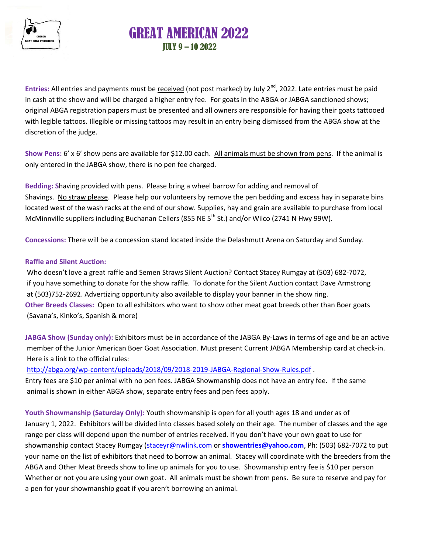

Entries: All entries and payments must be received (not post marked) by July 2<sup>nd</sup>, 2022. Late entries must be paid in cash at the show and will be charged a higher entry fee. For goats in the ABGA or JABGA sanctioned shows; original ABGA registration papers must be presented and all owners are responsible for having their goats tattooed with legible tattoos. Illegible or missing tattoos may result in an entry being dismissed from the ABGA show at the discretion of the judge.

**Show Pens:** 6' x 6' show pens are available for \$12.00 each. All animals must be shown from pens. If the animal is only entered in the JABGA show, there is no pen fee charged.

**Bedding: S**having provided with pens. Please bring a wheel barrow for adding and removal of Shavings. No straw please. Please help our volunteers by remove the pen bedding and excess hay in separate bins located west of the wash racks at the end of our show. Supplies, hay and grain are available to purchase from local McMinnville suppliers including Buchanan Cellers (855 NE  $5<sup>th</sup>$  St.) and/or Wilco (2741 N Hwy 99W).

**Concessions:** There will be a concession stand located inside the Delashmutt Arena on Saturday and Sunday.

#### **Raffle and Silent Auction:**

Who doesn't love a great raffle and Semen Straws Silent Auction? Contact Stacey Rumgay at (503) 682-7072, if you have something to donate for the show raffle. To donate for the Silent Auction contact Dave Armstrong at (503)752-2692. Advertizing opportunity also available to display your banner in the show ring. **Other Breeds Classes:** Open to all exhibitors who want to show other meat goat breeds other than Boer goats (Savana's, Kinko's, Spanish & more)

**JABGA Show (Sunday only):** Exhibitors must be in accordance of the JABGA By-Laws in terms of age and be an active member of the Junior American Boer Goat Association. Must present Current JABGA Membership card at check-in. Here is a link to the official rules:

<http://abga.org/wp-content/uploads/2018/09/2018-2019-JABGA-Regional-Show-Rules.pdf> .

Entry fees are \$10 per animal with no pen fees. JABGA Showmanship does not have an entry fee. If the same animal is shown in either ABGA show, separate entry fees and pen fees apply.

**Youth Showmanship (Saturday Only):** Youth showmanship is open for all youth ages 18 and under as of January 1, 2022. Exhibitors will be divided into classes based solely on their age. The number of classes and the age range per class will depend upon the number of entries received. If you don't have your own goat to use for showmanship contact Stacey Rumgay [\(staceyr@nwlink.com](mailto:staceyr@nwlink.com) or **[showentries@yahoo.com](mailto:showentries@yahoo.com)**, Ph: (503) 682-7072 to put your name on the list of exhibitors that need to borrow an animal. Stacey will coordinate with the breeders from the ABGA and Other Meat Breeds show to line up animals for you to use. Showmanship entry fee is \$10 per person Whether or not you are using your own goat. All animals must be shown from pens. Be sure to reserve and pay for a pen for your showmanship goat if you aren't borrowing an animal.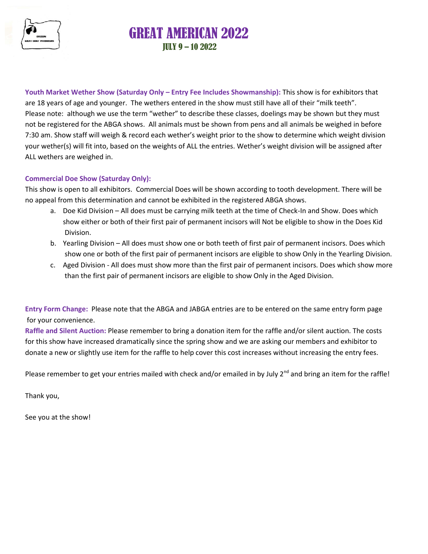

**Youth Market Wether Show (Saturday Only – Entry Fee Includes Showmanship):** This show is for exhibitors that are 18 years of age and younger. The wethers entered in the show must still have all of their "milk teeth". Please note: although we use the term "wether" to describe these classes, doelings may be shown but they must not be registered for the ABGA shows. All animals must be shown from pens and all animals be weighed in before 7:30 am. Show staff will weigh & record each wether's weight prior to the show to determine which weight division your wether(s) will fit into, based on the weights of ALL the entries. Wether's weight division will be assigned after ALL wethers are weighed in.

#### **Commercial Doe Show (Saturday Only):**

This show is open to all exhibitors. Commercial Does will be shown according to tooth development. There will be no appeal from this determination and cannot be exhibited in the registered ABGA shows.

- a. Doe Kid Division All does must be carrying milk teeth at the time of Check-In and Show. Does which show either or both of their first pair of permanent incisors will Not be eligible to show in the Does Kid Division.
- b. Yearling Division All does must show one or both teeth of first pair of permanent incisors. Does which show one or both of the first pair of permanent incisors are eligible to show Only in the Yearling Division.
- c. Aged Division All does must show more than the first pair of permanent incisors. Does which show more than the first pair of permanent incisors are eligible to show Only in the Aged Division.

**Entry Form Change:** Please note that the ABGA and JABGA entries are to be entered on the same entry form page for your convenience.

**Raffle and Silent Auction:** Please remember to bring a donation item for the raffle and/or silent auction. The costs for this show have increased dramatically since the spring show and we are asking our members and exhibitor to donate a new or slightly use item for the raffle to help cover this cost increases without increasing the entry fees.

Please remember to get your entries mailed with check and/or emailed in by July  $2^{nd}$  and bring an item for the raffle!

Thank you,

See you at the show!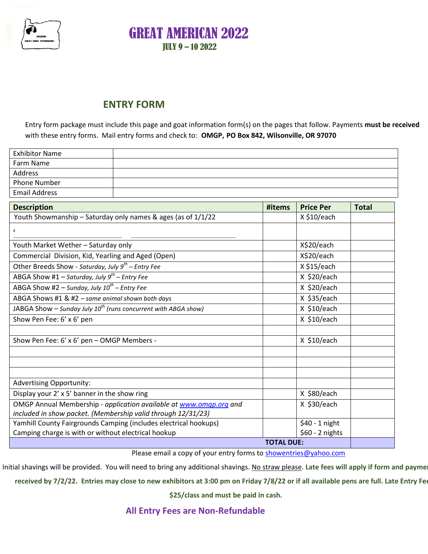

## **ENTRY FORM**

Entry form package must include this page and goat information form(s) on the pages that follow. Payments **must be received** with these entry forms. Mail entry forms and check to: **OMGP, PO Box 842, Wilsonville, OR 97070**

| <b>Exhibitor Name</b> |  |
|-----------------------|--|
| Farm Name             |  |
| Address               |  |
| <b>Phone Number</b>   |  |
| <b>Email Address</b>  |  |

| <b>Description</b>                                                  | #items           | <b>Price Per</b> | <b>Total</b> |  |  |
|---------------------------------------------------------------------|------------------|------------------|--------------|--|--|
| Youth Showmanship - Saturday only names & ages (as of 1/1/22        |                  | $X $10/$ each    |              |  |  |
| X                                                                   |                  |                  |              |  |  |
| Youth Market Wether - Saturday only                                 |                  | X\$20/each       |              |  |  |
| Commercial Division, Kid, Yearling and Aged (Open)                  |                  | X\$20/each       |              |  |  |
| Other Breeds Show - Saturday, July $9^{th}$ – Entry Fee             |                  | X \$15/each      |              |  |  |
| ABGA Show #1 – Saturday, July $9^{th}$ – Entry Fee                  |                  | $X$ \$20/each    |              |  |  |
| ABGA Show #2 – Sunday, July $10^{th}$ – Entry Fee                   |                  | $X$ \$20/each    |              |  |  |
| ABGA Shows #1 & #2 - same animal shown both days                    |                  | $X$ \$35/each    |              |  |  |
| JABGA Show – Sunday July $10^{th}$ (runs concurrent with ABGA show) |                  | $X$ \$10/each    |              |  |  |
| Show Pen Fee: 6' x 6' pen                                           |                  | $X$ \$10/each    |              |  |  |
|                                                                     |                  |                  |              |  |  |
| Show Pen Fee: 6' x 6' pen - OMGP Members -                          |                  | $X$ \$10/each    |              |  |  |
|                                                                     |                  |                  |              |  |  |
|                                                                     |                  |                  |              |  |  |
|                                                                     |                  |                  |              |  |  |
| <b>Advertising Opportunity:</b>                                     |                  |                  |              |  |  |
| Display your 2' x 5' banner in the show ring                        |                  | X \$80/each      |              |  |  |
| OMGP Annual Membership - application available at www.omgp.org and  |                  | $X$ \$30/each    |              |  |  |
| included in show packet. (Membership valid through 12/31/23)        |                  |                  |              |  |  |
| Yamhill County Fairgrounds Camping (includes electrical hookups)    |                  | \$40 - 1 night   |              |  |  |
| Camping charge is with or without electrical hookup                 | $$60 - 2$ nights |                  |              |  |  |
| <b>TOTAL DUE:</b>                                                   |                  |                  |              |  |  |

Please email a copy of your entry forms t[o showentries@yahoo.com](mailto:showentries@yahoo.com)

Initial shavings will be provided. You will need to bring any additional shavings. No straw please. Late fees will apply if form and payme

**received by 7/2/22. Entries may close to new exhibitors at 3:00 pm on Friday 7/8/22 or if all available pens are full. Late Entry Fee is** 

**\$25/class and must be paid in cash.** 

**All Entry Fees are Non-Refundable**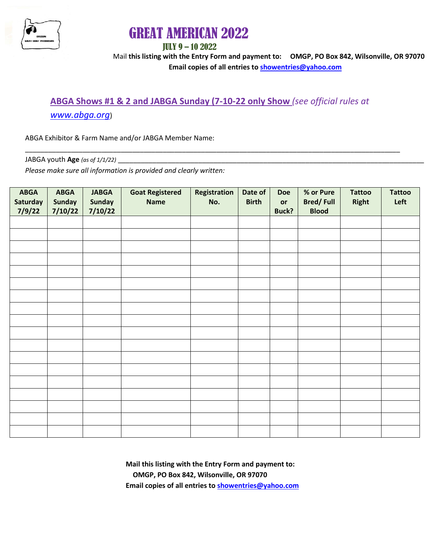

# GREAT AMERICAN 2022

### JULY 9 – 10 2022

Mail **this listing with the Entry Form and payment to: OMGP, PO Box 842, Wilsonville, OR 97070 Email copies of all entries to [showentries@yahoo.com](mailto:showentries@yahoo.com)**

# **ABGA Shows #1 & 2 and JABGA Sunday (7-10-22 only Show** *(see official rules at*

\_\_\_\_\_\_\_\_\_\_\_\_\_\_\_\_\_\_\_\_\_\_\_\_\_\_\_\_\_\_\_\_\_\_\_\_\_\_\_\_\_\_\_\_\_\_\_\_\_\_\_\_\_\_\_\_\_\_\_\_\_\_\_\_\_\_\_\_\_\_\_\_\_\_\_\_\_\_\_\_\_\_\_\_\_\_\_\_\_\_\_\_\_\_\_\_\_\_

### *[www.abga.org](http://www.abga.org/)*)

ABGA Exhibitor & Farm Name and/or JABGA Member Name:

JABGA youth **Age** *(as of 1/1/22)* \_\_\_\_\_\_\_\_\_\_\_\_\_\_\_\_\_\_\_\_\_\_\_\_\_\_\_\_\_\_\_\_\_\_\_\_\_\_\_\_\_\_\_\_\_\_\_\_\_\_\_\_\_\_\_\_\_\_\_\_\_\_\_\_\_\_\_\_\_\_\_\_\_\_\_\_\_\_\_\_

*Please make sure all information is provided and clearly written:*

| <b>ABGA</b><br>Saturday<br>7/9/22 | <b>ABGA</b><br><b>Sunday</b><br>7/10/22 | <b>JABGA</b><br><b>Sunday</b><br>7/10/22 | <b>Goat Registered</b><br><b>Name</b> | Registration<br>No. | Date of<br><b>Birth</b> | <b>Doe</b><br>or<br><b>Buck?</b> | % or Pure<br><b>Bred/Full</b><br><b>Blood</b> | <b>Tattoo</b><br><b>Right</b> | <b>Tattoo</b><br>Left |
|-----------------------------------|-----------------------------------------|------------------------------------------|---------------------------------------|---------------------|-------------------------|----------------------------------|-----------------------------------------------|-------------------------------|-----------------------|
|                                   |                                         |                                          |                                       |                     |                         |                                  |                                               |                               |                       |
|                                   |                                         |                                          |                                       |                     |                         |                                  |                                               |                               |                       |
|                                   |                                         |                                          |                                       |                     |                         |                                  |                                               |                               |                       |
|                                   |                                         |                                          |                                       |                     |                         |                                  |                                               |                               |                       |
|                                   |                                         |                                          |                                       |                     |                         |                                  |                                               |                               |                       |
|                                   |                                         |                                          |                                       |                     |                         |                                  |                                               |                               |                       |
|                                   |                                         |                                          |                                       |                     |                         |                                  |                                               |                               |                       |
|                                   |                                         |                                          |                                       |                     |                         |                                  |                                               |                               |                       |
|                                   |                                         |                                          |                                       |                     |                         |                                  |                                               |                               |                       |
|                                   |                                         |                                          |                                       |                     |                         |                                  |                                               |                               |                       |
|                                   |                                         |                                          |                                       |                     |                         |                                  |                                               |                               |                       |
|                                   |                                         |                                          |                                       |                     |                         |                                  |                                               |                               |                       |
|                                   |                                         |                                          |                                       |                     |                         |                                  |                                               |                               |                       |
|                                   |                                         |                                          |                                       |                     |                         |                                  |                                               |                               |                       |
|                                   |                                         |                                          |                                       |                     |                         |                                  |                                               |                               |                       |
|                                   |                                         |                                          |                                       |                     |                         |                                  |                                               |                               |                       |
|                                   |                                         |                                          |                                       |                     |                         |                                  |                                               |                               |                       |
|                                   |                                         |                                          |                                       |                     |                         |                                  |                                               |                               |                       |

 **Mail this listing with the Entry Form and payment to: OMGP, PO Box 842, Wilsonville, OR 97070 Email copies of all entries to [showentries@yahoo.com](mailto:showentries@yahoo.com)**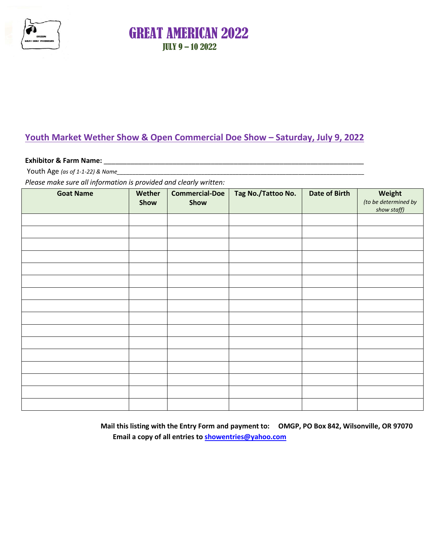

## **Youth Market Wether Show & Open Commercial Doe Show – Saturday, July 9, 2022**

#### **Exhibitor & Farm Name:** \_\_\_\_\_\_\_\_\_\_\_\_\_\_\_\_\_\_\_\_\_\_\_\_\_\_\_\_\_\_\_\_\_\_\_\_\_\_\_\_\_\_\_\_\_\_\_\_\_\_\_\_\_\_\_\_\_\_\_\_\_\_\_\_\_\_\_\_

Youth Age *(as of 1-1-22) & Name\_\_\_\_\_\_\_\_\_\_\_\_\_\_\_\_\_\_\_\_\_\_\_\_\_\_\_\_\_\_\_\_\_\_\_\_\_\_\_\_\_\_\_\_\_\_\_\_\_\_\_\_\_\_\_\_\_\_\_\_\_\_\_\_\_\_\_\_\_\_\_\_\_\_\_\_\_\_\_*

*Please make sure all information is provided and clearly written:*

| <b>Goat Name</b> | Wether<br>Show | <b>Commercial-Doe</b><br>Show | Tag No./Tattoo No. | <b>Date of Birth</b> | Weight<br>(to be determined by<br>show staff) |
|------------------|----------------|-------------------------------|--------------------|----------------------|-----------------------------------------------|
|                  |                |                               |                    |                      |                                               |
|                  |                |                               |                    |                      |                                               |
|                  |                |                               |                    |                      |                                               |
|                  |                |                               |                    |                      |                                               |
|                  |                |                               |                    |                      |                                               |
|                  |                |                               |                    |                      |                                               |
|                  |                |                               |                    |                      |                                               |
|                  |                |                               |                    |                      |                                               |
|                  |                |                               |                    |                      |                                               |
|                  |                |                               |                    |                      |                                               |
|                  |                |                               |                    |                      |                                               |
|                  |                |                               |                    |                      |                                               |
|                  |                |                               |                    |                      |                                               |
|                  |                |                               |                    |                      |                                               |
|                  |                |                               |                    |                      |                                               |
|                  |                |                               |                    |                      |                                               |

**Mail this listing with the Entry Form and payment to: OMGP, PO Box 842, Wilsonville, OR 97070 Email a copy of all entries to [showentries@yahoo.com](mailto:showentries@yahoo.com)**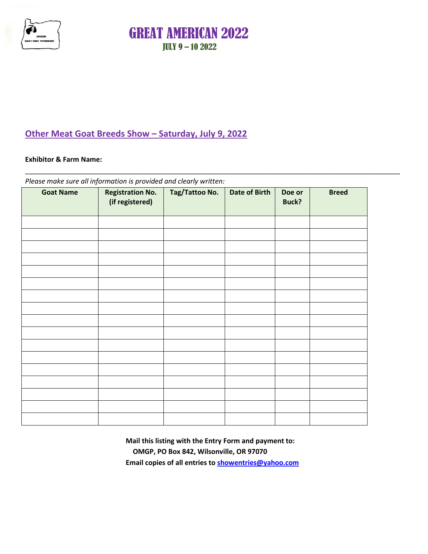

## **Other Meat Goat Breeds Show – Saturday, July 9, 2022**

#### **Exhibitor & Farm Name:**

*Please make sure all information is provided and clearly written:*

| <b>Goat Name</b> | <b>Registration No.</b><br>(if registered) | Tag/Tattoo No. | <b>Date of Birth</b> | Doe or<br>Buck? | <b>Breed</b> |
|------------------|--------------------------------------------|----------------|----------------------|-----------------|--------------|
|                  |                                            |                |                      |                 |              |
|                  |                                            |                |                      |                 |              |
|                  |                                            |                |                      |                 |              |
|                  |                                            |                |                      |                 |              |
|                  |                                            |                |                      |                 |              |
|                  |                                            |                |                      |                 |              |
|                  |                                            |                |                      |                 |              |
|                  |                                            |                |                      |                 |              |
|                  |                                            |                |                      |                 |              |
|                  |                                            |                |                      |                 |              |
|                  |                                            |                |                      |                 |              |
|                  |                                            |                |                      |                 |              |
|                  |                                            |                |                      |                 |              |
|                  |                                            |                |                      |                 |              |
|                  |                                            |                |                      |                 |              |
|                  |                                            |                |                      |                 |              |
|                  |                                            |                |                      |                 |              |

\_\_\_\_\_\_\_\_\_\_\_\_\_\_\_\_\_\_\_\_\_\_\_\_\_\_\_\_\_\_\_\_\_\_\_\_\_\_\_\_\_\_\_\_\_\_\_\_\_\_\_\_\_\_\_\_\_\_\_\_\_\_\_\_\_\_\_\_\_\_\_\_\_\_\_\_\_\_\_\_\_\_\_\_\_\_\_\_\_\_\_\_\_\_\_\_\_\_

**Mail this listing with the Entry Form and payment to: OMGP, PO Box 842, Wilsonville, OR 97070 Email copies of all entries to [showentries@yahoo.com](mailto:showentries@yahoo.com)**